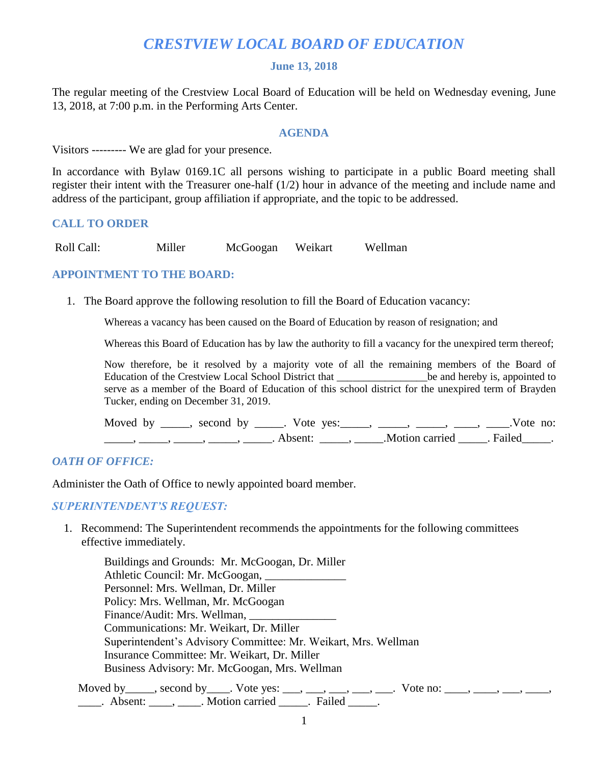# *CRESTVIEW LOCAL BOARD OF EDUCATION*

### **June 13, 2018**

The regular meeting of the Crestview Local Board of Education will be held on Wednesday evening, June 13, 2018, at 7:00 p.m. in the Performing Arts Center.

#### **AGENDA**

Visitors --------- We are glad for your presence.

In accordance with Bylaw 0169.1C all persons wishing to participate in a public Board meeting shall register their intent with the Treasurer one-half (1/2) hour in advance of the meeting and include name and address of the participant, group affiliation if appropriate, and the topic to be addressed.

# **CALL TO ORDER**

Roll Call: Miller McGoogan Weikart Wellman

# **APPOINTMENT TO THE BOARD:**

1. The Board approve the following resolution to fill the Board of Education vacancy:

Whereas a vacancy has been caused on the Board of Education by reason of resignation; and

Whereas this Board of Education has by law the authority to fill a vacancy for the unexpired term thereof;

Now therefore, be it resolved by a majority vote of all the remaining members of the Board of Education of the Crestview Local School District that \_\_\_\_\_\_\_\_\_\_\_\_\_\_\_\_\_\_\_\_be and hereby is, appointed to serve as a member of the Board of Education of this school district for the unexpired term of Brayden Tucker, ending on December 31, 2019.

| Moved by | second by | Vote ves: |                | Vote no: |  |
|----------|-----------|-----------|----------------|----------|--|
|          |           | Absent:   | Motion carried | Failed   |  |

# *OATH OF OFFICE:*

Administer the Oath of Office to newly appointed board member.

*SUPERINTENDENT'S REQUEST:*

 1. Recommend: The Superintendent recommends the appointments for the following committees effective immediately.

Buildings and Grounds: Mr. McGoogan, Dr. Miller Athletic Council: Mr. McGoogan, \_\_\_\_\_\_\_\_\_\_\_\_\_\_ Personnel: Mrs. Wellman, Dr. Miller Policy: Mrs. Wellman, Mr. McGoogan Finance/Audit: Mrs. Wellman, \_\_\_\_\_\_\_\_\_\_\_\_\_\_\_ Communications: Mr. Weikart, Dr. Miller Superintendent's Advisory Committee: Mr. Weikart, Mrs. Wellman Insurance Committee: Mr. Weikart, Dr. Miller Business Advisory: Mr. McGoogan, Mrs. Wellman

Moved by \_\_\_\_, second by \_\_\_\_. Vote yes: \_\_\_, \_\_\_, \_\_\_, \_\_\_, \_\_\_. Vote no: \_\_\_\_, \_\_\_, \_\_\_, \_\_\_, extended absent:  $\blacksquare$ ,  $\blacksquare$  . Motion carried  $\blacksquare$ . Failed  $\blacksquare$ .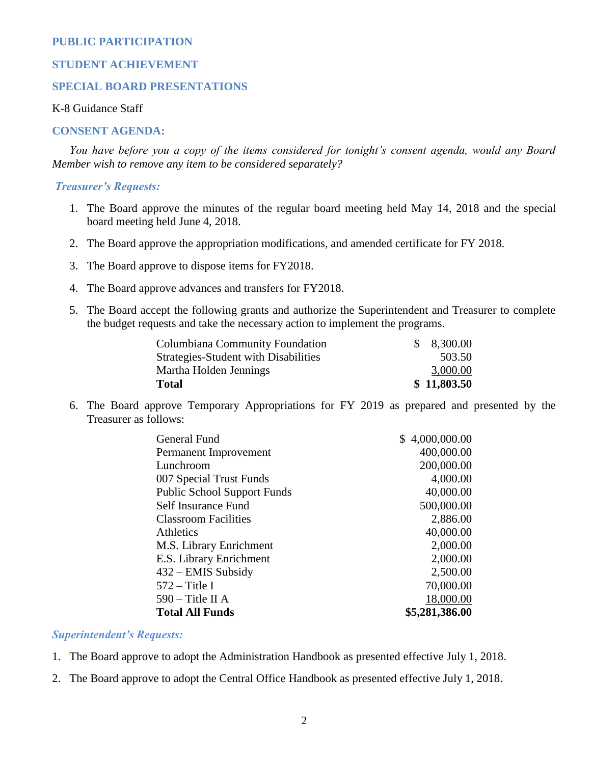# **PUBLIC PARTICIPATION**

## **STUDENT ACHIEVEMENT**

# **SPECIAL BOARD PRESENTATIONS**

# K-8 Guidance Staff

#### **CONSENT AGENDA:**

 *You have before you a copy of the items considered for tonight's consent agenda, would any Board Member wish to remove any item to be considered separately?*

#### *Treasurer's Requests:*

- 1. The Board approve the minutes of the regular board meeting held May 14, 2018 and the special board meeting held June 4, 2018.
- 2. The Board approve the appropriation modifications, and amended certificate for FY 2018.
- 3. The Board approve to dispose items for FY2018.
- 4. The Board approve advances and transfers for FY2018.
- 5. The Board accept the following grants and authorize the Superintendent and Treasurer to complete the budget requests and take the necessary action to implement the programs.

| Columbiana Community Foundation      | \$8,300.00  |
|--------------------------------------|-------------|
| Strategies-Student with Disabilities | 503.50      |
| Martha Holden Jennings               | 3,000.00    |
| Total                                | \$11,803.50 |

6. The Board approve Temporary Appropriations for FY 2019 as prepared and presented by the Treasurer as follows:

| General Fund                       | \$4,000,000.00 |
|------------------------------------|----------------|
| Permanent Improvement              | 400,000.00     |
| Lunchroom                          | 200,000.00     |
| 007 Special Trust Funds            | 4,000.00       |
| <b>Public School Support Funds</b> | 40,000.00      |
| Self Insurance Fund                | 500,000.00     |
| <b>Classroom Facilities</b>        | 2,886.00       |
| <b>Athletics</b>                   | 40,000.00      |
| M.S. Library Enrichment            | 2,000.00       |
| E.S. Library Enrichment            | 2,000.00       |
| $432 -$ EMIS Subsidy               | 2,500.00       |
| $572 -$ Title I                    | 70,000.00      |
| $590 -$ Title II A                 | 18,000.00      |
| <b>Total All Funds</b>             | \$5,281,386.00 |

#### *Superintendent's Requests:*

1. The Board approve to adopt the Administration Handbook as presented effective July 1, 2018.

2. The Board approve to adopt the Central Office Handbook as presented effective July 1, 2018.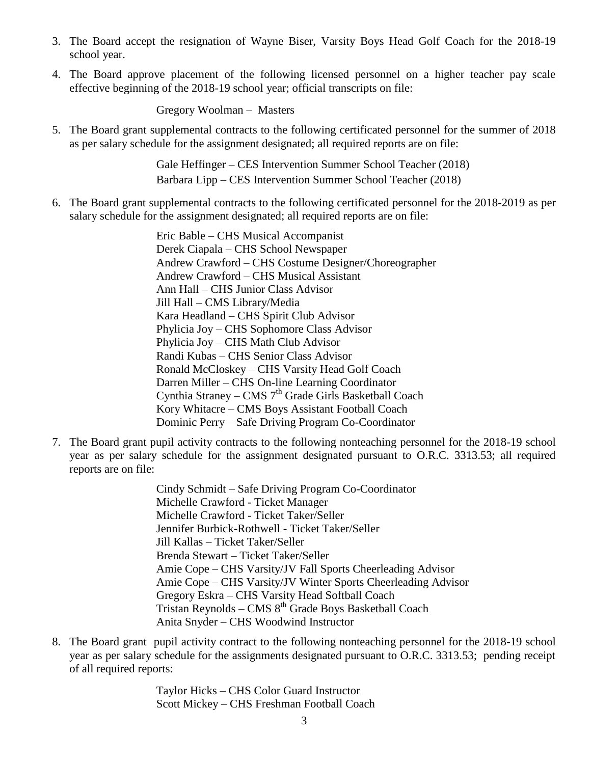- 3. The Board accept the resignation of Wayne Biser, Varsity Boys Head Golf Coach for the 2018-19 school year.
- 4. The Board approve placement of the following licensed personnel on a higher teacher pay scale effective beginning of the 2018-19 school year; official transcripts on file:

Gregory Woolman – Masters

5. The Board grant supplemental contracts to the following certificated personnel for the summer of 2018 as per salary schedule for the assignment designated; all required reports are on file:

> Gale Heffinger – CES Intervention Summer School Teacher (2018) Barbara Lipp – CES Intervention Summer School Teacher (2018)

6. The Board grant supplemental contracts to the following certificated personnel for the 2018-2019 as per salary schedule for the assignment designated; all required reports are on file:

> Eric Bable – CHS Musical Accompanist Derek Ciapala – CHS School Newspaper Andrew Crawford – CHS Costume Designer/Choreographer Andrew Crawford – CHS Musical Assistant Ann Hall – CHS Junior Class Advisor Jill Hall – CMS Library/Media Kara Headland – CHS Spirit Club Advisor Phylicia Joy – CHS Sophomore Class Advisor Phylicia Joy – CHS Math Club Advisor Randi Kubas – CHS Senior Class Advisor Ronald McCloskey – CHS Varsity Head Golf Coach Darren Miller – CHS On-line Learning Coordinator Cynthia Straney – CMS 7<sup>th</sup> Grade Girls Basketball Coach Kory Whitacre – CMS Boys Assistant Football Coach Dominic Perry – Safe Driving Program Co-Coordinator

7. The Board grant pupil activity contracts to the following nonteaching personnel for the 2018-19 school year as per salary schedule for the assignment designated pursuant to O.R.C. 3313.53; all required reports are on file:

> Cindy Schmidt – Safe Driving Program Co-Coordinator Michelle Crawford - Ticket Manager Michelle Crawford - Ticket Taker/Seller Jennifer Burbick-Rothwell - Ticket Taker/Seller Jill Kallas – Ticket Taker/Seller Brenda Stewart – Ticket Taker/Seller Amie Cope – CHS Varsity/JV Fall Sports Cheerleading Advisor Amie Cope – CHS Varsity/JV Winter Sports Cheerleading Advisor Gregory Eskra – CHS Varsity Head Softball Coach Tristan Reynolds – CMS  $8<sup>th</sup>$  Grade Boys Basketball Coach Anita Snyder – CHS Woodwind Instructor

8. The Board grant pupil activity contract to the following nonteaching personnel for the 2018-19 school year as per salary schedule for the assignments designated pursuant to O.R.C. 3313.53; pending receipt of all required reports:

> Taylor Hicks – CHS Color Guard Instructor Scott Mickey – CHS Freshman Football Coach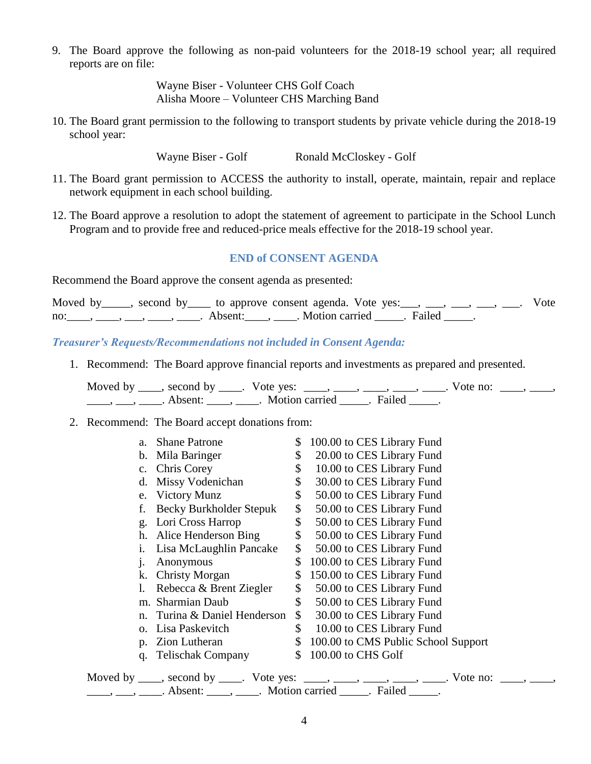9. The Board approve the following as non-paid volunteers for the 2018-19 school year; all required reports are on file:

> Wayne Biser - Volunteer CHS Golf Coach Alisha Moore – Volunteer CHS Marching Band

10. The Board grant permission to the following to transport students by private vehicle during the 2018-19 school year:

Wayne Biser - Golf Ronald McCloskey - Golf

- 11. The Board grant permission to ACCESS the authority to install, operate, maintain, repair and replace network equipment in each school building.
- 12. The Board approve a resolution to adopt the statement of agreement to participate in the School Lunch Program and to provide free and reduced-price meals effective for the 2018-19 school year.

# **END of CONSENT AGENDA**

Recommend the Board approve the consent agenda as presented:

| Moved by _____, second by _____ to approve consent agenda. Vote yes: ___, ___, ___, ___, ___. Vote |  |  |  |  |
|----------------------------------------------------------------------------------------------------|--|--|--|--|
| no: $\ldots$ , $\ldots$ , $\ldots$ , $\ldots$ , Absent: $\ldots$ , Motion carried Failed           |  |  |  |  |

*Treasurer's Requests/Recommendations not included in Consent Agenda:*

1. Recommend: The Board approve financial reports and investments as prepared and presented.

Moved by  $\_\_\_\_\$ , second by  $\_\_\_\$ . Vote yes:  $\_\_\_\_\_\_\_\_\_\_\_\_\_\_\_\_\_\_\_\_\_\_\_\_\_\_\_\_\_\_\_\_\_\_\_\_$ \_\_\_\_, \_\_\_, \_\_\_\_. Absent: \_\_\_\_, \_\_\_\_. Motion carried \_\_\_\_\_. Failed \_\_\_\_\_.

2. Recommend: The Board accept donations from:

| a.             | <b>Shane Patrone</b>                                         | \$<br>100.00 to CES Library Fund                                                |
|----------------|--------------------------------------------------------------|---------------------------------------------------------------------------------|
| $\mathbf{b}$ . | Mila Baringer                                                | \$<br>20.00 to CES Library Fund                                                 |
|                | c. Chris Corey                                               | \$<br>10.00 to CES Library Fund                                                 |
| d.             | Missy Vodenichan                                             | \$<br>30.00 to CES Library Fund                                                 |
|                | e. Victory Munz                                              | \$<br>50.00 to CES Library Fund                                                 |
| f.             | Becky Burkholder Stepuk                                      | \$<br>50.00 to CES Library Fund                                                 |
|                | g. Lori Cross Harrop                                         | \$<br>50.00 to CES Library Fund                                                 |
| h.             | Alice Henderson Bing                                         | \$<br>50.00 to CES Library Fund                                                 |
| 1.             | Lisa McLaughlin Pancake                                      | \$<br>50.00 to CES Library Fund                                                 |
| j.             | Anonymous                                                    | \$<br>100.00 to CES Library Fund                                                |
|                | k. Christy Morgan                                            | \$<br>150.00 to CES Library Fund                                                |
| 1.             | Rebecca & Brent Ziegler                                      | \$<br>50.00 to CES Library Fund                                                 |
|                | m. Sharmian Daub                                             | \$<br>50.00 to CES Library Fund                                                 |
|                | n. Turina & Daniel Henderson                                 | \$<br>30.00 to CES Library Fund                                                 |
| 0.             | Lisa Paskevitch                                              | \$<br>10.00 to CES Library Fund                                                 |
| $p_{\cdot}$    | Zion Lutheran                                                | \$100.00 to CMS Public School Support                                           |
|                | q. Telischak Company                                         | \$<br>100.00 to CHS Golf                                                        |
|                |                                                              | Moved by ____, second by ____. Vote yes: ____, ____, ____, ____, ____. Vote no: |
|                | <u>, , </u> Absent: ,  Motion carried <u></u> Failed <u></u> |                                                                                 |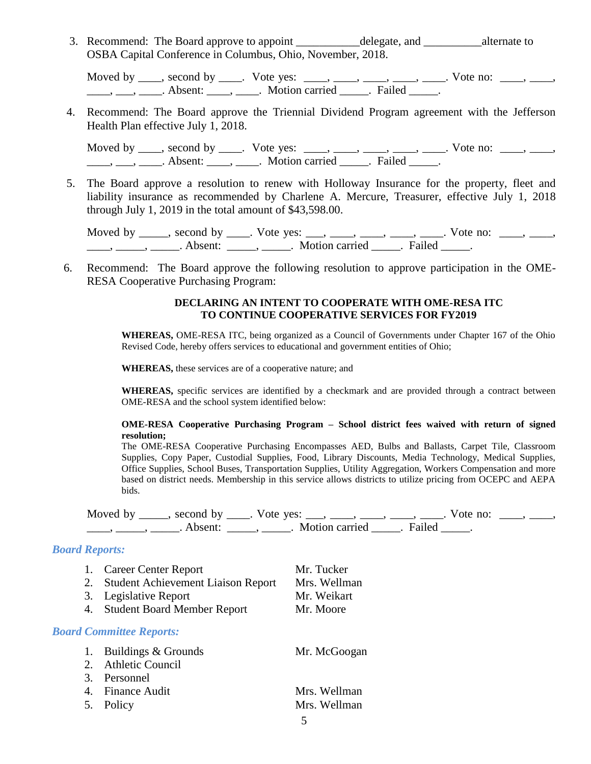3. Recommend: The Board approve to appoint \_\_\_\_\_\_\_\_\_\_\_\_ delegate, and alternate to OSBA Capital Conference in Columbus, Ohio, November, 2018.

Moved by  $\_\_\_\_\$ , second by  $\_\_\_\$ . Vote yes:  $\_\_\_\_\_\_\_\_\_\_\_\_\_\_\_\_\_\_\_\_\_\_\_\_\_\_\_\_\_\_\_\_\_\_\_\_$ \_\_\_\_, \_\_\_, \_\_\_\_. Absent: \_\_\_\_, \_\_\_\_. Motion carried \_\_\_\_\_. Failed \_\_\_\_\_.

4. Recommend: The Board approve the Triennial Dividend Program agreement with the Jefferson Health Plan effective July 1, 2018.

Moved by  $\_\_\_\_\$ , second by  $\_\_\_\$ . Vote yes:  $\_\_\_\_\_\_\_\_\_\_\_\_\_\_\_\_\_\_\_\_\_\_\_\_\_\_\_\_\_\_\_\_\_\_\_\_$ \_\_\_\_, \_\_\_, \_\_\_\_. Absent: \_\_\_\_, \_\_\_\_. Motion carried \_\_\_\_\_. Failed \_\_\_\_\_.

5. The Board approve a resolution to renew with Holloway Insurance for the property, fleet and liability insurance as recommended by Charlene A. Mercure, Treasurer, effective July 1, 2018 through July 1, 2019 in the total amount of \$43,598.00.

Moved by \_\_\_\_, second by \_\_\_\_. Vote yes: \_\_\_, \_\_\_\_, \_\_\_\_, \_\_\_\_, \_\_\_. Vote no: \_\_\_, \_\_\_, \_\_\_\_\_, \_\_\_\_\_\_, Absent: \_\_\_\_\_, \_\_\_\_\_. Motion carried \_\_\_\_\_. Failed \_\_\_\_\_.

6. Recommend: The Board approve the following resolution to approve participation in the OME-RESA Cooperative Purchasing Program:

# **DECLARING AN INTENT TO COOPERATE WITH OME-RESA ITC TO CONTINUE COOPERATIVE SERVICES FOR FY2019**

**WHEREAS,** OME-RESA ITC, being organized as a Council of Governments under Chapter 167 of the Ohio Revised Code, hereby offers services to educational and government entities of Ohio;

**WHEREAS,** these services are of a cooperative nature; and

**WHEREAS,** specific services are identified by a checkmark and are provided through a contract between OME-RESA and the school system identified below:

#### **OME-RESA Cooperative Purchasing Program – School district fees waived with return of signed resolution;**

The OME-RESA Cooperative Purchasing Encompasses AED, Bulbs and Ballasts, Carpet Tile, Classroom Supplies, Copy Paper, Custodial Supplies, Food, Library Discounts, Media Technology, Medical Supplies, Office Supplies, School Buses, Transportation Supplies, Utility Aggregation, Workers Compensation and more based on district needs. Membership in this service allows districts to utilize pricing from OCEPC and AEPA bids.

Moved by \_\_\_\_, second by \_\_\_\_. Vote yes: \_\_\_, \_\_\_\_, \_\_\_\_, \_\_\_\_, \_\_\_. Vote no: \_\_\_, \_\_\_, \_\_\_\_\_, \_\_\_\_\_\_, Absent: \_\_\_\_\_, \_\_\_\_\_. Motion carried \_\_\_\_\_. Failed \_\_\_\_\_.

# *Board Reports:*

| 1. | <b>Career Center Report</b>               | Mr. Tucker   |
|----|-------------------------------------------|--------------|
| 2. | <b>Student Achievement Liaison Report</b> | Mrs. Wellman |
| 3. | Legislative Report                        | Mr. Weikart  |
| 4. | <b>Student Board Member Report</b>        | Mr. Moore    |
|    | <b>Board Committee Reports:</b>           |              |
| 1. | Buildings & Grounds                       | Mr. McGoogan |
|    | 2. Athletic Council                       |              |
| 3. | Personnel                                 |              |
|    | 4. Finance Audit                          | Mrs. Wellman |
|    | 5. Policy                                 | Mrs. Wellman |
|    |                                           |              |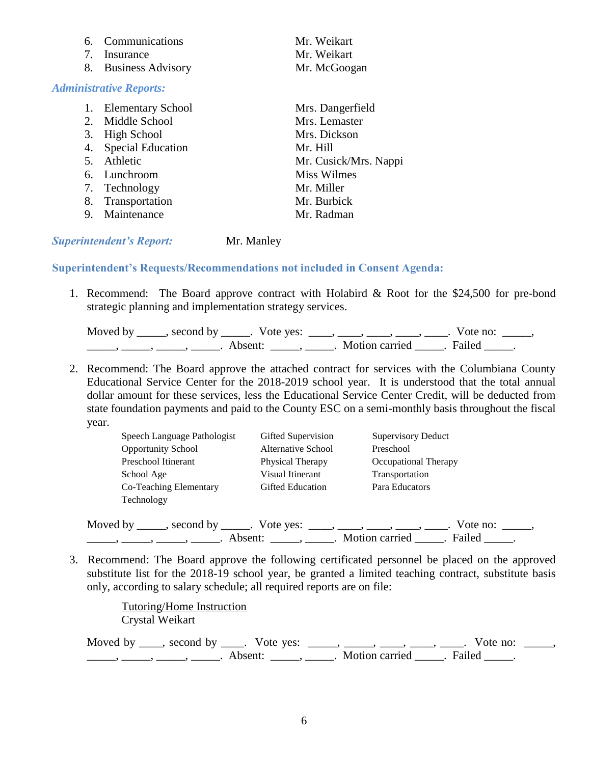| 6. | <b>Communications</b>          | Mr. Weikart           |
|----|--------------------------------|-----------------------|
| 7. | Insurance                      | Mr. Weikart           |
| 8. | <b>Business Advisory</b>       | Mr. McGoogan          |
|    | <b>Administrative Reports:</b> |                       |
| 1. | <b>Elementary School</b>       | Mrs. Dangerfield      |
|    | 2. Middle School               | Mrs. Lemaster         |
| 3. | High School                    | Mrs. Dickson          |
| 4. | <b>Special Education</b>       | Mr. Hill              |
| 5. | Athletic                       | Mr. Cusick/Mrs. Nappi |
|    | 6. Lunchroom                   | <b>Miss Wilmes</b>    |
| 7. | Technology                     | Mr. Miller            |
| 8. | Transportation                 | Mr. Burbick           |
| 9. | Maintenance                    | Mr. Radman            |
|    |                                |                       |

#### *Superintendent's Report:* Mr. Manley

#### **Superintendent's Requests/Recommendations not included in Consent Agenda:**

1. Recommend: The Board approve contract with Holabird & Root for the \$24,500 for pre-bond strategic planning and implementation strategy services.

| Moved by | second by | Vote yes: |                | Vote no: |  |
|----------|-----------|-----------|----------------|----------|--|
|          |           | Absent:   | Motion carried | . Failed |  |

2. Recommend: The Board approve the attached contract for services with the Columbiana County Educational Service Center for the 2018-2019 school year. It is understood that the total annual dollar amount for these services, less the Educational Service Center Credit, will be deducted from state foundation payments and paid to the County ESC on a semi-monthly basis throughout the fiscal year.

| Speech Language Pathologist | Gifted Supervision      | <b>Supervisory Deduct</b> |
|-----------------------------|-------------------------|---------------------------|
| <b>Opportunity School</b>   | Alternative School      | Preschool                 |
| Preschool Itinerant         | Physical Therapy        | Occupational Therapy      |
| School Age                  | Visual Itinerant        | Transportation            |
| Co-Teaching Elementary      | <b>Gifted Education</b> | Para Educators            |
| Technology                  |                         |                           |

Moved by \_\_\_\_\_, second by \_\_\_\_\_. Vote yes: \_\_\_\_, \_\_\_\_, \_\_\_\_, \_\_\_\_, \_\_\_\_. Vote no: \_\_\_\_\_, \_\_\_\_\_, \_\_\_\_\_, \_\_\_\_\_, \_\_\_\_\_. Absent: \_\_\_\_\_, \_\_\_\_\_. Motion carried \_\_\_\_\_. Failed \_\_\_\_\_.

3. Recommend: The Board approve the following certificated personnel be placed on the approved substitute list for the 2018-19 school year, be granted a limited teaching contract, substitute basis only, according to salary schedule; all required reports are on file:

> Tutoring/Home Instruction Crystal Weikart

Moved by  $\_\_\_\_$ , second by  $\_\_\_\_$ . Vote yes:  $\_\_\_\_\_\_\_\_\_\_\_\_\_\_\_\_\_\_\_\_$   $\_\_\_\_\_\_\_\_\_\_\_\_$ . Vote no:  $\_\_\_\_\_\$ \_\_\_\_\_\_\_, \_\_\_\_\_\_, \_\_\_\_\_\_\_. Absent: \_\_\_\_\_\_, \_\_\_\_\_\_. Motion carried \_\_\_\_\_\_. Failed \_\_\_\_\_.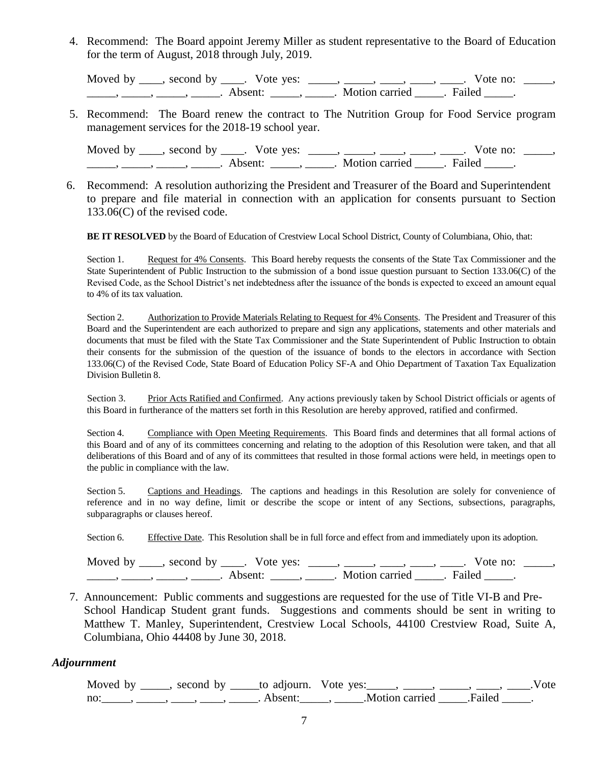4. Recommend: The Board appoint Jeremy Miller as student representative to the Board of Education for the term of August, 2018 through July, 2019.

Moved by \_\_\_\_, second by \_\_\_\_. Vote yes: \_\_\_\_\_, \_\_\_\_, \_\_\_\_, \_\_\_\_, \_\_\_\_. Vote no: \_\_\_\_\_, \_\_\_\_\_\_, \_\_\_\_\_, \_\_\_\_\_\_, Absent: \_\_\_\_\_, \_\_\_\_\_. Motion carried \_\_\_\_\_. Failed \_\_\_\_\_.

5. Recommend: The Board renew the contract to The Nutrition Group for Food Service program management services for the 2018-19 school year.

Moved by  $\_\_\_\_$ , second by  $\_\_\_\_$ . Vote yes:  $\_\_\_\_\_\_\_\_\_\_\_\_\_\_\_\_\_\_\_\_$ . Vote no:  $\_\_\_\_\_\_\_\_\_\_\_$  $\frac{1}{\sqrt{2\pi}}$ ,  $\frac{1}{\sqrt{2\pi}}$ ,  $\frac{1}{\sqrt{2\pi}}$ ,  $\frac{1}{\sqrt{2\pi}}$ ,  $\frac{1}{\sqrt{2\pi}}$ ,  $\frac{1}{\sqrt{2\pi}}$ ,  $\frac{1}{\sqrt{2\pi}}$ ,  $\frac{1}{\sqrt{2\pi}}$ ,  $\frac{1}{\sqrt{2\pi}}$ ,  $\frac{1}{\sqrt{2\pi}}$ ,  $\frac{1}{\sqrt{2\pi}}$ 

 6. Recommend: A resolution authorizing the President and Treasurer of the Board and Superintendent to prepare and file material in connection with an application for consents pursuant to Section 133.06(C) of the revised code.

**BE IT RESOLVED** by the Board of Education of Crestview Local School District, County of Columbiana, Ohio, that:

Section 1. Request for 4% Consents. This Board hereby requests the consents of the State Tax Commissioner and the State Superintendent of Public Instruction to the submission of a bond issue question pursuant to Section 133.06(C) of the Revised Code, as the School District's net indebtedness after the issuance of the bonds is expected to exceed an amount equal to 4% of its tax valuation.

Section 2. Authorization to Provide Materials Relating to Request for 4% Consents. The President and Treasurer of this Board and the Superintendent are each authorized to prepare and sign any applications, statements and other materials and documents that must be filed with the State Tax Commissioner and the State Superintendent of Public Instruction to obtain their consents for the submission of the question of the issuance of bonds to the electors in accordance with Section 133.06(C) of the Revised Code, State Board of Education Policy SF-A and Ohio Department of Taxation Tax Equalization Division Bulletin 8.

Section 3. Prior Acts Ratified and Confirmed. Any actions previously taken by School District officials or agents of this Board in furtherance of the matters set forth in this Resolution are hereby approved, ratified and confirmed.

Section 4. Compliance with Open Meeting Requirements. This Board finds and determines that all formal actions of this Board and of any of its committees concerning and relating to the adoption of this Resolution were taken, and that all deliberations of this Board and of any of its committees that resulted in those formal actions were held, in meetings open to the public in compliance with the law.

Section 5. Captions and Headings. The captions and headings in this Resolution are solely for convenience of reference and in no way define, limit or describe the scope or intent of any Sections, subsections, paragraphs, subparagraphs or clauses hereof.

Section 6. Effective Date. This Resolution shall be in full force and effect from and immediately upon its adoption.

| Moved by, second by | Vote yes: |  |        | Vote no: |  |
|---------------------|-----------|--|--------|----------|--|
|                     | Absent:   |  | Failed |          |  |

7. Announcement: Public comments and suggestions are requested for the use of Title VI-B and Pre-School Handicap Student grant funds. Suggestions and comments should be sent in writing to Matthew T. Manley, Superintendent, Crestview Local Schools, 44100 Crestview Road, Suite A, Columbiana, Ohio 44408 by June 30, 2018.

#### *Adjournment*

Moved by \_\_\_\_, second by \_\_\_\_to adjourn. Vote yes: \_\_\_\_, \_\_\_\_, \_\_\_\_, \_\_\_\_, \_\_\_\_, \_\_\_\_.Vote no:  $\qquad \qquad$ ,  $\qquad \qquad$ ,  $\qquad$ ,  $\qquad$ , Absent:  $\qquad$ , Motion carried  $\qquad \qquad$  Failed  $\qquad$